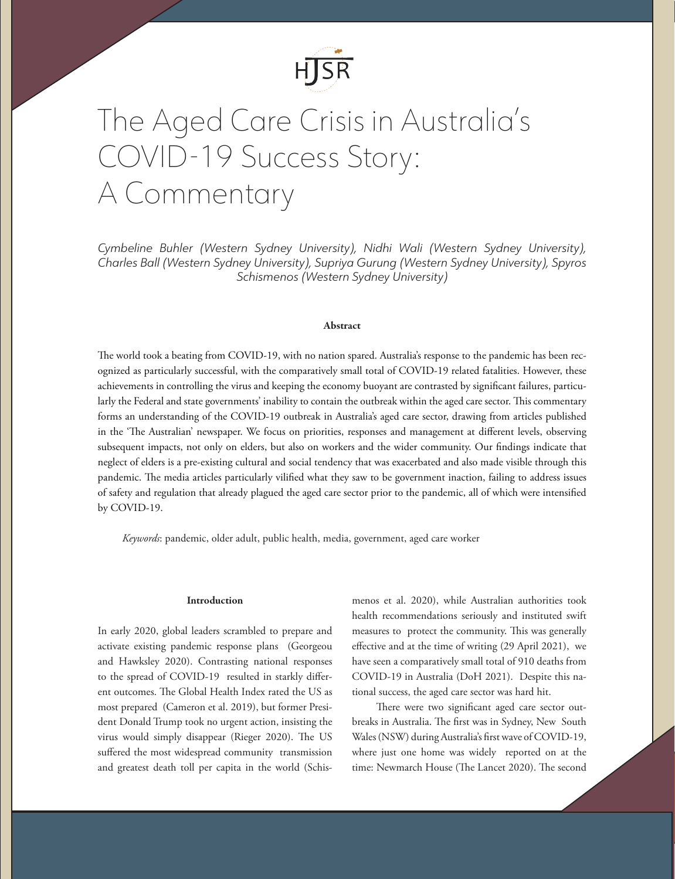

# The Aged Care Crisis in Australia's COVID-19 Success Story: A Commentary

*Cymbeline Buhler (Western Sydney University), Nidhi Wali (Western Sydney University), Charles Ball (Western Sydney University), Supriya Gurung (Western Sydney University), Spyros Schismenos (Western Sydney University)*

## Abstract

The world took a beating from COVID-19, with no nation spared. Australia's response to the pandemic has been recognized as particularly successful, with the comparatively small total of COVID-19 related fatalities. However, these achievements in controlling the virus and keeping the economy buoyant are contrasted by significant failures, particularly the Federal and state governments' inability to contain the outbreak within the aged care sector. This commentary forms an understanding of the COVID-19 outbreak in Australia's aged care sector, drawing from articles published in the 'The Australian' newspaper. We focus on priorities, responses and management at different levels, observing subsequent impacts, not only on elders, but also on workers and the wider community. Our findings indicate that neglect of elders is a pre-existing cultural and social tendency that was exacerbated and also made visible through this pandemic. The media articles particularly vilified what they saw to be government inaction, failing to address issues of safety and regulation that already plagued the aged care sector prior to the pandemic, all of which were intensified by COVID-19.

*Keywords*: pandemic, older adult, public health, media, government, aged care worker

### Introduction

In early 2020, global leaders scrambled to prepare and activate existing pandemic response plans (Georgeou and Hawksley 2020). Contrasting national responses to the spread of COVID-19 resulted in starkly different outcomes. The Global Health Index rated the US as most prepared (Cameron et al. 2019), but former President Donald Trump took no urgent action, insisting the virus would simply disappear (Rieger 2020). The US suffered the most widespread community transmission and greatest death toll per capita in the world (Schis-

menos et al. 2020), while Australian authorities took health recommendations seriously and instituted swift measures to protect the community. This was generally effective and at the time of writing (29 April 2021), we have seen a comparatively small total of 910 deaths from COVID-19 in Australia (DoH 2021). Despite this national success, the aged care sector was hard hit.

There were two significant aged care sector outbreaks in Australia. The first was in Sydney, New South Wales (NSW) during Australia's first wave of COVID-19, where just one home was widely reported on at the time: Newmarch House (The Lancet 2020). The second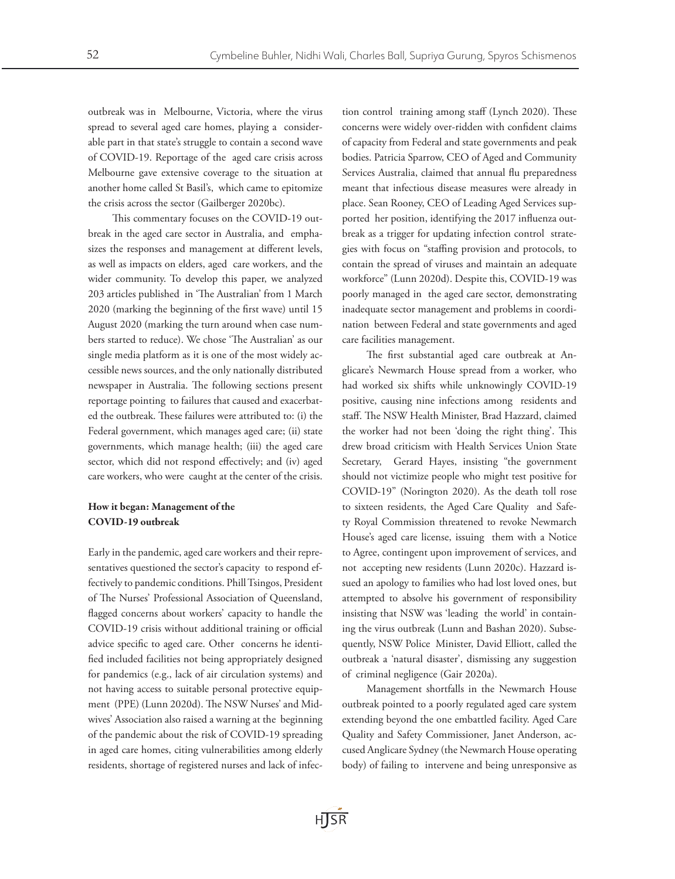outbreak was in Melbourne, Victoria, where the virus spread to several aged care homes, playing a considerable part in that state's struggle to contain a second wave of COVID-19. Reportage of the aged care crisis across Melbourne gave extensive coverage to the situation at another home called St Basil's, which came to epitomize the crisis across the sector (Gailberger 2020bc).

This commentary focuses on the COVID-19 outbreak in the aged care sector in Australia, and emphasizes the responses and management at different levels, as well as impacts on elders, aged care workers, and the wider community. To develop this paper, we analyzed 203 articles published in 'The Australian' from 1 March 2020 (marking the beginning of the first wave) until 15 August 2020 (marking the turn around when case numbers started to reduce). We chose 'The Australian' as our single media platform as it is one of the most widely accessible news sources, and the only nationally distributed newspaper in Australia. The following sections present reportage pointing to failures that caused and exacerbated the outbreak. These failures were attributed to: (i) the Federal government, which manages aged care; (ii) state governments, which manage health; (iii) the aged care sector, which did not respond effectively; and (iv) aged care workers, who were caught at the center of the crisis.

## How it began: Management of the COVID-19 outbreak

Early in the pandemic, aged care workers and their representatives questioned the sector's capacity to respond effectively to pandemic conditions. Phill Tsingos, President of The Nurses' Professional Association of Queensland, flagged concerns about workers' capacity to handle the COVID-19 crisis without additional training or official advice specific to aged care. Other concerns he identified included facilities not being appropriately designed for pandemics (e.g., lack of air circulation systems) and not having access to suitable personal protective equipment (PPE) (Lunn 2020d). The NSW Nurses' and Midwives' Association also raised a warning at the beginning of the pandemic about the risk of COVID-19 spreading in aged care homes, citing vulnerabilities among elderly residents, shortage of registered nurses and lack of infection control training among staff (Lynch 2020). These concerns were widely over-ridden with confident claims of capacity from Federal and state governments and peak bodies. Patricia Sparrow, CEO of Aged and Community Services Australia, claimed that annual flu preparedness meant that infectious disease measures were already in place. Sean Rooney, CEO of Leading Aged Services supported her position, identifying the 2017 influenza outbreak as a trigger for updating infection control strategies with focus on "staffing provision and protocols, to contain the spread of viruses and maintain an adequate workforce" (Lunn 2020d). Despite this, COVID-19 was poorly managed in the aged care sector, demonstrating inadequate sector management and problems in coordination between Federal and state governments and aged care facilities management.

The first substantial aged care outbreak at Anglicare's Newmarch House spread from a worker, who had worked six shifts while unknowingly COVID-19 positive, causing nine infections among residents and staff. The NSW Health Minister, Brad Hazzard, claimed the worker had not been 'doing the right thing'. This drew broad criticism with Health Services Union State Secretary, Gerard Hayes, insisting "the government should not victimize people who might test positive for COVID-19" (Norington 2020). As the death toll rose to sixteen residents, the Aged Care Quality and Safety Royal Commission threatened to revoke Newmarch House's aged care license, issuing them with a Notice to Agree, contingent upon improvement of services, and not accepting new residents (Lunn 2020c). Hazzard issued an apology to families who had lost loved ones, but attempted to absolve his government of responsibility insisting that NSW was 'leading the world' in containing the virus outbreak (Lunn and Bashan 2020). Subsequently, NSW Police Minister, David Elliott, called the outbreak a 'natural disaster', dismissing any suggestion of criminal negligence (Gair 2020a).

Management shortfalls in the Newmarch House outbreak pointed to a poorly regulated aged care system extending beyond the one embattled facility. Aged Care Quality and Safety Commissioner, Janet Anderson, accused Anglicare Sydney (the Newmarch House operating body) of failing to intervene and being unresponsive as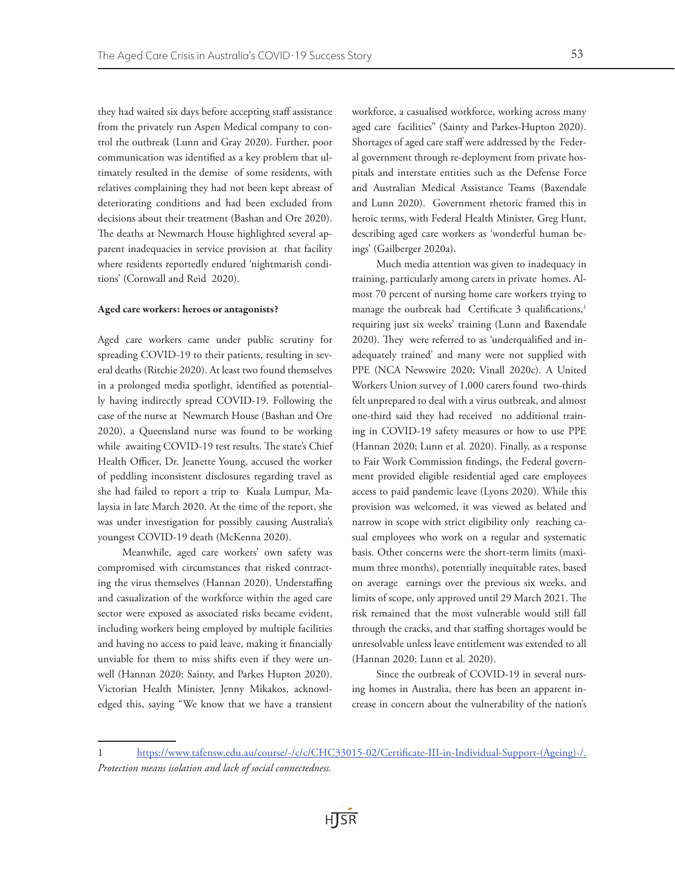they had waited six days before accepting staff assistance from the privately run Aspen Medical company to control the outbreak (Lunn and Gray 2020). Further, poor communication was identified as a key problem that ultimately resulted in the demise of some residents, with relatives complaining they had not been kept abreast of deteriorating conditions and had been excluded from decisions about their treatment (Bashan and Ore 2020). The deaths at Newmarch House highlighted several apparent inadequacies in service provision at that facility where residents reportedly endured 'nightmarish conditions' (Cornwall and Reid 2020).

#### Aged care workers: heroes or antagonists?

Aged care workers came under public scrutiny for spreading COVID-19 to their patients, resulting in several deaths (Ritchie 2020). At least two found themselves in a prolonged media spotlight, identified as potentially having indirectly spread COVID-19. Following the case of the nurse at Newmarch House (Bashan and Ore 2020), a Queensland nurse was found to be working while awaiting COVID-19 test results. The state's Chief Health Officer, Dr. Jeanette Young, accused the worker of peddling inconsistent disclosures regarding travel as she had failed to report a trip to Kuala Lumpur, Malaysia in late March 2020. At the time of the report, she was under investigation for possibly causing Australia's youngest COVID-19 death (McKenna 2020).

Meanwhile, aged care workers' own safety was compromised with circumstances that risked contracting the virus themselves (Hannan 2020). Understaffing and casualization of the workforce within the aged care sector were exposed as associated risks became evident, including workers being employed by multiple facilities and having no access to paid leave, making it financially unviable for them to miss shifts even if they were unwell (Hannan 2020; Sainty, and Parkes Hupton 2020). Victorian Health Minister, Jenny Mikakos, acknowledged this, saying "We know that we have a transient

workforce, a casualised workforce, working across many aged care facilities" (Sainty and Parkes-Hupton 2020). Shortages of aged care staff were addressed by the Federal government through re-deployment from private hospitals and interstate entities such as the Defense Force and Australian Medical Assistance Teams (Baxendale and Lunn 2020). Government rhetoric framed this in heroic terms, with Federal Health Minister, Greg Hunt, describing aged care workers as 'wonderful human beings' (Gailberger 2020a).

Much media attention was given to inadequacy in training, particularly among carers in private homes. Almost 70 percent of nursing home care workers trying to manage the outbreak had Certificate 3 qualifications,<sup>1</sup> requiring just six weeks' training (Lunn and Baxendale 2020). They were referred to as 'underqualified and inadequately trained' and many were not supplied with PPE (NCA Newswire 2020; Vinall 2020c). A United Workers Union survey of 1,000 carers found two-thirds felt unprepared to deal with a virus outbreak, and almost one-third said they had received no additional training in COVID-19 safety measures or how to use PPE (Hannan 2020; Lunn et al. 2020). Finally, as a response to Fair Work Commission findings, the Federal government provided eligible residential aged care employees access to paid pandemic leave (Lyons 2020). While this provision was welcomed, it was viewed as belated and narrow in scope with strict eligibility only reaching casual employees who work on a regular and systematic basis. Other concerns were the short-term limits (maximum three months), potentially inequitable rates, based on average earnings over the previous six weeks, and limits of scope, only approved until 29 March 2021. The risk remained that the most vulnerable would still fall through the cracks, and that staffing shortages would be unresolvable unless leave entitlement was extended to all (Hannan 2020; Lunn et al. 2020).

Since the outbreak of COVID-19 in several nursing homes in Australia, there has been an apparent increase in concern about the vulnerability of the nation's

<sup>1</sup> [https://www.tafensw.edu.au/course/-/c/c/CHC33015-02/Certificate-III-in-Individual-Support-\(Ageing\)-/.](https://www.tafensw.edu.au/course/-/c/c/CHC33015-02/Certificate-III-in-Individual-Support-(Ageing)-/) *Protection means isolation and lack of social connectedness.*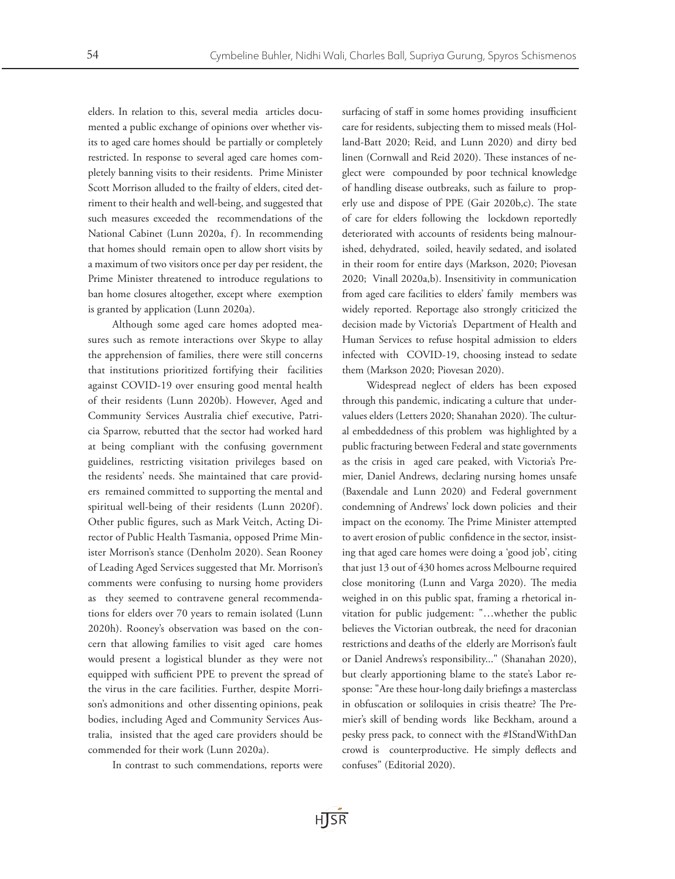elders. In relation to this, several media articles documented a public exchange of opinions over whether visits to aged care homes should be partially or completely restricted. In response to several aged care homes completely banning visits to their residents. Prime Minister Scott Morrison alluded to the frailty of elders, cited detriment to their health and well-being, and suggested that such measures exceeded the recommendations of the National Cabinet (Lunn 2020a, f). In recommending that homes should remain open to allow short visits by a maximum of two visitors once per day per resident, the Prime Minister threatened to introduce regulations to ban home closures altogether, except where exemption is granted by application (Lunn 2020a).

Although some aged care homes adopted measures such as remote interactions over Skype to allay the apprehension of families, there were still concerns that institutions prioritized fortifying their facilities against COVID-19 over ensuring good mental health of their residents (Lunn 2020b). However, Aged and Community Services Australia chief executive, Patricia Sparrow, rebutted that the sector had worked hard at being compliant with the confusing government guidelines, restricting visitation privileges based on the residents' needs. She maintained that care providers remained committed to supporting the mental and spiritual well-being of their residents (Lunn 2020f). Other public figures, such as Mark Veitch, Acting Director of Public Health Tasmania, opposed Prime Minister Morrison's stance (Denholm 2020). Sean Rooney of Leading Aged Services suggested that Mr. Morrison's comments were confusing to nursing home providers as they seemed to contravene general recommendations for elders over 70 years to remain isolated (Lunn 2020h). Rooney's observation was based on the concern that allowing families to visit aged care homes would present a logistical blunder as they were not equipped with sufficient PPE to prevent the spread of the virus in the care facilities. Further, despite Morrison's admonitions and other dissenting opinions, peak bodies, including Aged and Community Services Australia, insisted that the aged care providers should be commended for their work (Lunn 2020a).

In contrast to such commendations, reports were

surfacing of staff in some homes providing insufficient care for residents, subjecting them to missed meals (Holland-Batt 2020; Reid, and Lunn 2020) and dirty bed linen (Cornwall and Reid 2020). These instances of neglect were compounded by poor technical knowledge of handling disease outbreaks, such as failure to properly use and dispose of PPE (Gair 2020b,c). The state of care for elders following the lockdown reportedly deteriorated with accounts of residents being malnourished, dehydrated, soiled, heavily sedated, and isolated in their room for entire days (Markson, 2020; Piovesan 2020; Vinall 2020a,b). Insensitivity in communication from aged care facilities to elders' family members was widely reported. Reportage also strongly criticized the decision made by Victoria's Department of Health and Human Services to refuse hospital admission to elders infected with COVID-19, choosing instead to sedate them (Markson 2020; Piovesan 2020).

Widespread neglect of elders has been exposed through this pandemic, indicating a culture that undervalues elders (Letters 2020; Shanahan 2020). The cultural embeddedness of this problem was highlighted by a public fracturing between Federal and state governments as the crisis in aged care peaked, with Victoria's Premier, Daniel Andrews, declaring nursing homes unsafe (Baxendale and Lunn 2020) and Federal government condemning of Andrews' lock down policies and their impact on the economy. The Prime Minister attempted to avert erosion of public confidence in the sector, insisting that aged care homes were doing a 'good job', citing that just 13 out of 430 homes across Melbourne required close monitoring (Lunn and Varga 2020). The media weighed in on this public spat, framing a rhetorical invitation for public judgement: "…whether the public believes the Victorian outbreak, the need for draconian restrictions and deaths of the elderly are Morrison's fault or Daniel Andrews's responsibility..." (Shanahan 2020), but clearly apportioning blame to the state's Labor response: "Are these hour-long daily briefings a masterclass in obfuscation or soliloquies in crisis theatre? The Premier's skill of bending words like Beckham, around a pesky press pack, to connect with the #IStandWithDan crowd is counterproductive. He simply deflects and confuses" (Editorial 2020).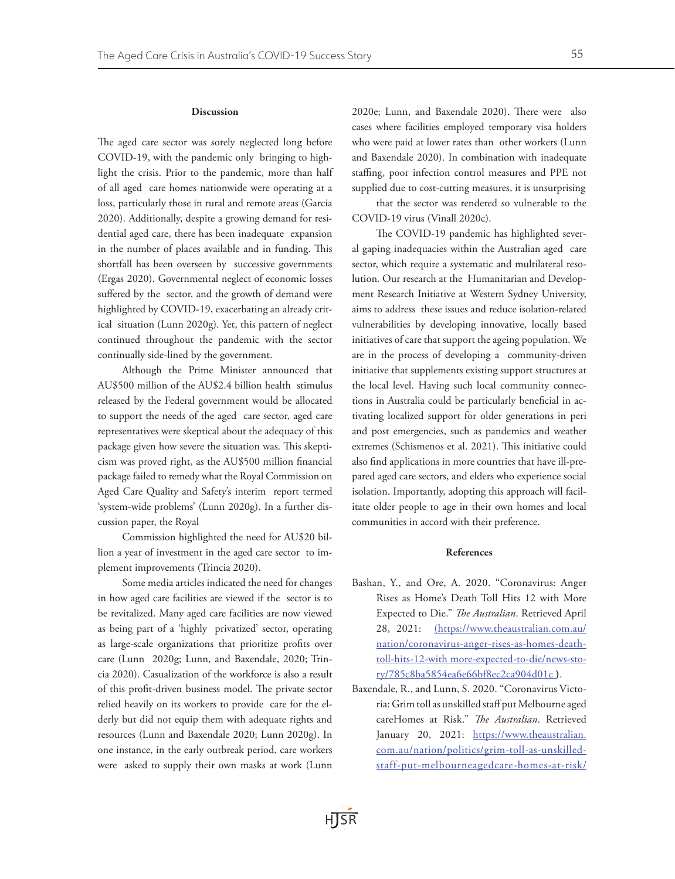## Discussion

The aged care sector was sorely neglected long before COVID-19, with the pandemic only bringing to highlight the crisis. Prior to the pandemic, more than half of all aged care homes nationwide were operating at a loss, particularly those in rural and remote areas (Garcia 2020). Additionally, despite a growing demand for residential aged care, there has been inadequate expansion in the number of places available and in funding. This shortfall has been overseen by successive governments (Ergas 2020). Governmental neglect of economic losses suffered by the sector, and the growth of demand were highlighted by COVID-19, exacerbating an already critical situation (Lunn 2020g). Yet, this pattern of neglect continued throughout the pandemic with the sector continually side-lined by the government.

Although the Prime Minister announced that AU\$500 million of the AU\$2.4 billion health stimulus released by the Federal government would be allocated to support the needs of the aged care sector, aged care representatives were skeptical about the adequacy of this package given how severe the situation was. This skepticism was proved right, as the AU\$500 million financial package failed to remedy what the Royal Commission on Aged Care Quality and Safety's interim report termed 'system-wide problems' (Lunn 2020g). In a further discussion paper, the Royal

Commission highlighted the need for AU\$20 billion a year of investment in the aged care sector to implement improvements (Trincia 2020).

Some media articles indicated the need for changes in how aged care facilities are viewed if the sector is to be revitalized. Many aged care facilities are now viewed as being part of a 'highly privatized' sector, operating as large-scale organizations that prioritize profits over care (Lunn 2020g; Lunn, and Baxendale, 2020; Trincia 2020). Casualization of the workforce is also a result of this profit-driven business model. The private sector relied heavily on its workers to provide care for the elderly but did not equip them with adequate rights and resources (Lunn and Baxendale 2020; Lunn 2020g). In one instance, in the early outbreak period, care workers were asked to supply their own masks at work (Lunn 2020e; Lunn, and Baxendale 2020). There were also cases where facilities employed temporary visa holders who were paid at lower rates than other workers (Lunn and Baxendale 2020). In combination with inadequate staffing, poor infection control measures and PPE not supplied due to cost-cutting measures, it is unsurprising

that the sector was rendered so vulnerable to the COVID-19 virus (Vinall 2020c).

The COVID-19 pandemic has highlighted several gaping inadequacies within the Australian aged care sector, which require a systematic and multilateral resolution. Our research at the Humanitarian and Development Research Initiative at Western Sydney University, aims to address these issues and reduce isolation-related vulnerabilities by developing innovative, locally based initiatives of care that support the ageing population. We are in the process of developing a community-driven initiative that supplements existing support structures at the local level. Having such local community connections in Australia could be particularly beneficial in activating localized support for older generations in peri and post emergencies, such as pandemics and weather extremes (Schismenos et al. 2021). This initiative could also find applications in more countries that have ill-prepared aged care sectors, and elders who experience social isolation. Importantly, adopting this approach will facilitate older people to age in their own homes and local communities in accord with their preference.

## References

- Bashan, Y., and Ore, A. 2020. "Coronavirus: Anger Rises as Home's Death Toll Hits 12 with More Expected to Die." *The Australian*. Retrieved April 28, 2021: (https://www.theaustralian.com.au/ nation/coronavirus-anger-rises-as-homes-deathtoll-hits-12-with more-expected-to-die/news-story/785c8ba5854ea6e66bf8ec2ca904d01c **)**.
- Baxendale, R., and Lunn, S. 2020. "Coronavirus Victoria: Grim toll as unskilled staff put Melbourne aged careHomes at Risk." *The Australian*. Retrieved January 20, 2021: https://www.theaustralian. com.au/nation/politics/grim-toll-as-unskilledstaff-put-melbourneagedcare-homes-at-risk/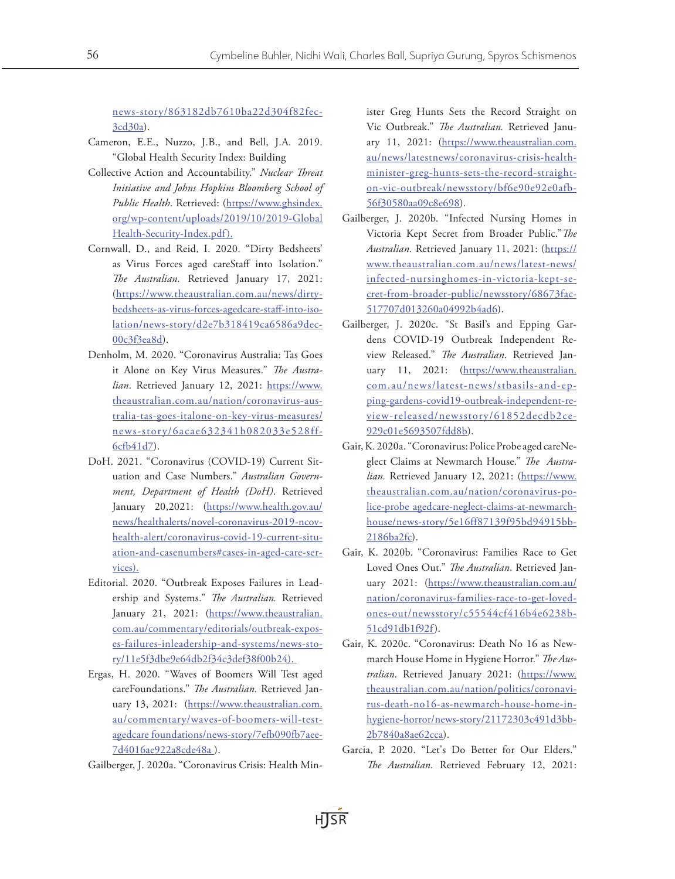news-story/863182db7610ba22d304f82fec-3cd30a).

- Cameron, E.E., Nuzzo, J.B., and Bell, J.A. 2019. "Global Health Security Index: Building
- Collective Action and Accountability." *Nuclear Threat Initiative and Johns Hopkins Bloomberg School of Public Health*. Retrieved: (https://www.ghsindex. org/wp-content/uploads/2019/10/2019-Global Health-Security-Index.pdf).
- Cornwall, D., and Reid, I. 2020. "Dirty Bedsheets' as Virus Forces aged careStaff into Isolation." *The Australian.* Retrieved January 17, 2021: ([https://www.theaustralian.com.au/news/dirty](https://www.theaustralian.com.au/news/dirty-bedsheets-as-virus-)[bedsheets-as-virus-f](https://www.theaustralian.com.au/news/dirty-bedsheets-as-virus-)orces-agedcare-staff-into-isolation/news-story/d2e7b318419ca6586a9dec-00c3f3ea8d).
- Denholm, M. 2020. "Coronavirus Australia: Tas Goes it Alone on Key Virus Measures." *The Australian*. Retrieved January 12, 2021: https://www. theaustralian.com.au/nation/coronavirus-australia-tas-goes-italone-on-key-virus-measures/ news-story/6acae632341b082033e528ff-6cfb41d7).
- DoH. 2021. "Coronavirus (COVID-19) Current Situation and Case Numbers." *Australian Government, Department of Health (DoH)*. Retrieved January 20,2021: (https://www.health.gov.au/ news/healthalerts/novel-coronavirus-2019-ncovhealth-alert/coronavirus-covid-19-current-situation-and-casenumbers#cases-in-aged-care-services).
- Editorial. 2020. "Outbreak Exposes Failures in Leadership and Systems." *The Australian.* Retrieved January 21, 2021: (https://www.theaustralian. com.au/commentary/editorials/outbreak-exposes-failures-inleadership-and-systems/news-story/11e5f3dbe9e64db2f34c3def38f00b24).
- Ergas, H. 2020. "Waves of Boomers Will Test aged careFoundations." *The Australian.* Retrieved January 13, 2021: (https://www.theaustralian.com. au/commentary/waves-of-boomers-will-testagedcare foundations/news-story/7efb090fb7aee-7d4016ae922a8cde48a ).
- Gailberger, J. 2020a. "Coronavirus Crisis: Health Min-

ister Greg Hunts Sets the Record Straight on Vic Outbreak." *The Australian.* Retrieved January 11, 2021: (https://www.theaustralian.com. au/news/latestnews/coronavirus-crisis-healthminister-greg-hunts-sets-the-record-straighton-vic-outbreak/newsstory/bf6e90e92e0afb-56f30580aa09c8e698).

- Gailberger, J. 2020b. "Infected Nursing Homes in Victoria Kept Secret from Broader Public."*The Australian.* Retrieved January 11, 2021: (https:// www.theaustralian.com.au/news/latest-news/ infected-nursinghomes-in-victoria-kept-secret-from-broader-public/newsstory/68673fac-517707d013260a04992b4ad6).
- Gailberger, J. 2020c. "St Basil's and Epping Gardens COVID-19 Outbreak Independent Review Released." *The Australian*. Retrieved January 11, 2021: (https://www.theaustralian. com.au/news/latest-news/stbasils-and-epping-gardens-covid19-outbreak-independent-review-released/newsstory/61852decdb2ce-929c01e5693507fdd8b).
- Gair, K. 2020a. "Coronavirus: Police Probe aged careNeglect Claims at Newmarch House." *The Australian.* Retrieved January 12, 2021: (https://www. theaustralian.com.au/nation/coronavirus-police-probe agedcare-neglect-claims-at-newmarchhouse/news-story/5e16ff87139f95bd94915bb-2186ba2fc).
- Gair, K. 2020b. "Coronavirus: Families Race to Get Loved Ones Out." *The Australian*. Retrieved January 2021: (https://www.theaustralian.com.au/ nation/coronavirus-families-race-to-get-lovedones-out/newsstory/c55544cf416b4e6238b-51cd91db1f92f).
- Gair, K. 2020c. "Coronavirus: Death No 16 as Newmarch House Home in Hygiene Horror." *The Australian*. Retrieved January 2021: (https://www. theaustralian.com.au/nation/politics/coronavirus-death-no16-as-newmarch-house-home-inhygiene-horror/news-story/21172303c491d3bb-2b7840a8ae62cca).
- Garcia, P. 2020. "Let's Do Better for Our Elders." *The Australian.* Retrieved February 12, 2021: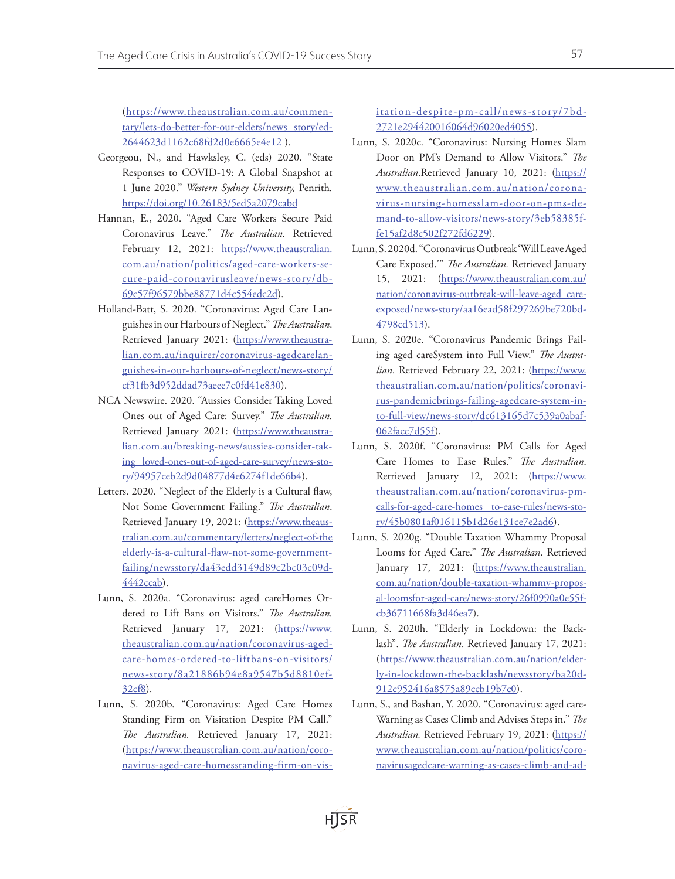(https://www.theaustralian.com.au/commentary/lets-do-better-for-our-elders/news story/ed-2644623d1162c68fd2d0e6665e4e12 ).

- Georgeou, N., and Hawksley, C. (eds) 2020. "State Responses to COVID-19: A Global Snapshot at 1 June 2020." *Western Sydney University,* Penrith*.*  https://doi.org/10.26183/5ed5a2079cabd
- Hannan, E., 2020. "Aged Care Workers Secure Paid Coronavirus Leave." *The Australian.* Retrieved February 12, 2021: https://www.theaustralian. com.au/nation/politics/aged-care-workers-secure-paid-coronavirusleave/news-story/db-69c57f96579bbe88771d4c554edc2d).
- Holland-Batt, S. 2020. "Coronavirus: Aged Care Languishes in our Harbours of Neglect." *The Australian*. Retrieved January 2021: (https://www.theaustralian.com.au/inquirer/coronavirus-agedcarelanguishes-in-our-harbours-of-neglect/news-story/ cf31fb3d952ddad73aeee7c0fd41e830).
- NCA Newswire. 2020. "Aussies Consider Taking Loved Ones out of Aged Care: Survey." *The Australian.*  Retrieved January 2021: (https://www.theaustralian.com.au/breaking-news/aussies-consider-taking loved-ones-out-of-aged-care-survey/news-story/94957ceb2d9d04877d4e6274f1de66b4).
- Letters. 2020. "Neglect of the Elderly is a Cultural flaw, Not Some Government Failing." *The Australian*. Retrieved January 19, 2021: (https://www.theaustralian.com.au/commentary/letters/neglect-of-the elderly-is-a-cultural-flaw-not-some-governmentfailing/newsstory/da43edd3149d89c2bc03c09d-4442ccab).
- Lunn, S. 2020a. "Coronavirus: aged careHomes Ordered to Lift Bans on Visitors." *The Australian.*  Retrieved January 17, 2021: (https://www. theaustralian.com.au/nation/coronavirus-agedcare-homes-ordered-to-liftbans-on-visitors/ news-story/8a21886b94e8a9547b5d8810ef-32cf8).
- Lunn, S. 2020b. "Coronavirus: Aged Care Homes Standing Firm on Visitation Despite PM Call." *The Australian.* Retrieved January 17, 2021: (https://www.theaustralian.com.au/nation/coronavirus-aged-care-homesstanding-firm-on-vis-

itation-despite-pm-call/news-story/7bd-2721e294420016064d96020ed4055).

- Lunn, S. 2020c. "Coronavirus: Nursing Homes Slam Door on PM's Demand to Allow Visitors." *The Australian*.Retrieved January 10, 2021: (https:// www.theaustralian.com.au/nation/coronavirus-nursing-homesslam-door-on-pms-demand-to-allow-visitors/news-story/3eb58385ffe15af2d8c502f272fd6229).
- Lunn, S. 2020d. "Coronavirus Outbreak 'Will Leave Aged Care Exposed.'" *The Australian.* Retrieved January 15, 2021: (https://www.theaustralian.com.au/ nation/coronavirus-outbreak-will-leave-aged careexposed/news-story/aa16ead58f297269be720bd-4798cd513).
- Lunn, S. 2020e. "Coronavirus Pandemic Brings Failing aged careSystem into Full View." *The Australian*. Retrieved February 22, 2021: (https://www. theaustralian.com.au/nation/politics/coronavirus-pandemicbrings-failing-agedcare-system-into-full-view/news-story/dc613165d7c539a0abaf-062facc7d55f).
- Lunn, S. 2020f. "Coronavirus: PM Calls for Aged Care Homes to Ease Rules." *The Australian*. Retrieved January 12, 2021: (https://www. theaustralian.com.au/nation/coronavirus-pmcalls-for-aged-care-homes to-ease-rules/news-story/45b0801af016115b1d26e131ce7e2ad6).
- Lunn, S. 2020g. "Double Taxation Whammy Proposal Looms for Aged Care." *The Australian*. Retrieved January 17, 2021: (https://www.theaustralian. com.au/nation/double-taxation-whammy-proposal-loomsfor-aged-care/news-story/26f0990a0e55fcb36711668fa3d46ea7).
- Lunn, S. 2020h. "Elderly in Lockdown: the Backlash". *The Australian*. Retrieved January 17, 2021: (https://www.theaustralian.com.au/nation/elderly-in-lockdown-the-backlash/newsstory/ba20d-912c952416a8575a89ccb19b7c0).
- Lunn, S., and Bashan, Y. 2020. "Coronavirus: aged care-Warning as Cases Climb and Advises Steps in." *The Australian.* Retrieved February 19, 2021: (https:// www.theaustralian.com.au/nation/politics/coronavirusagedcare-warning-as-cases-climb-and-ad-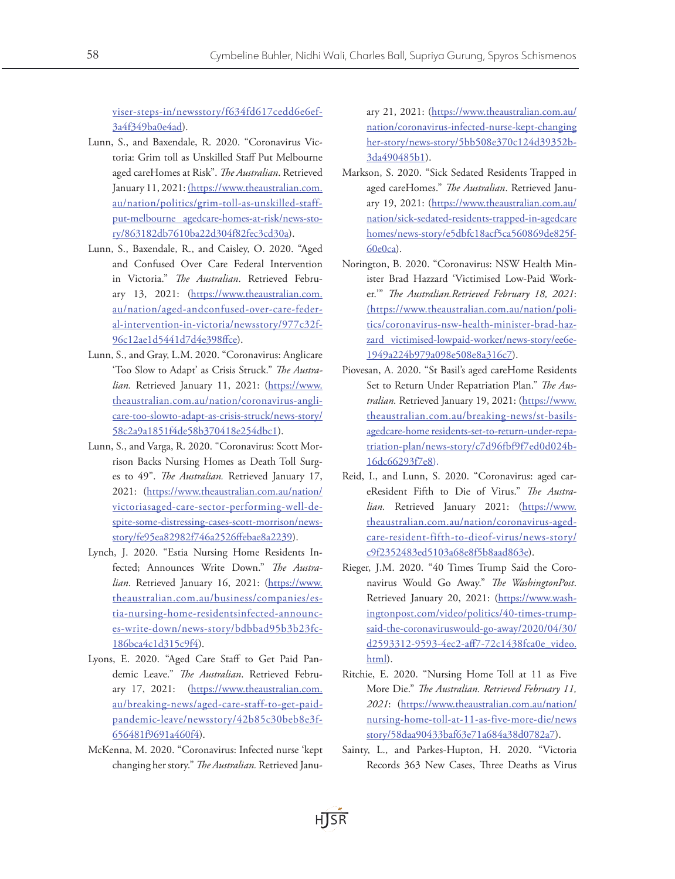viser-steps-in/newsstory/f634fd617cedd6e6ef-3a4f349ba0e4ad).

- Lunn, S., and Baxendale, R. 2020. "Coronavirus Victoria: Grim toll as Unskilled Staff Put Melbourne aged careHomes at Risk". *The Australian*. Retrieved January 11, 2021: (https://www.theaustralian.com. au/nation/politics/grim-toll-as-unskilled-staffput-melbourne agedcare-homes-at-risk/news-story/863182db7610ba22d304f82fec3cd30a).
- Lunn, S., Baxendale, R., and Caisley, O. 2020. "Aged and Confused Over Care Federal Intervention in Victoria." *The Australian*. Retrieved February 13, 2021: (https://www.theaustralian.com. au/nation/aged-andconfused-over-care-federal-intervention-in-victoria/newsstory/977c32f-96c12ae1d5441d7d4e398ffce).
- Lunn, S., and Gray, L.M. 2020. "Coronavirus: Anglicare 'Too Slow to Adapt' as Crisis Struck." *The Australian.* Retrieved January 11, 2021: (https://www. theaustralian.com.au/nation/coronavirus-anglicare-too-slowto-adapt-as-crisis-struck/news-story/ 58c2a9a1851f4de58b370418e254dbc1).
- Lunn, S., and Varga, R. 2020. "Coronavirus: Scott Morrison Backs Nursing Homes as Death Toll Surges to 49". *The Australian.* Retrieved January 17, 2021: (https://www.theaustralian.com.au/nation/ victoriasaged-care-sector-performing-well-despite-some-distressing-cases-scott-morrison/newsstory/fe95ea82982f746a2526ffebae8a2239).
- Lynch, J. 2020. "Estia Nursing Home Residents Infected; Announces Write Down." *The Austra*lian. Retrieved January 16, 2021: (https://www. theaustralian.com.au/business/companies/estia-nursing-home-residentsinfected-announces-write-down/news-story/bdbbad95b3b23fc-186bca4c1d315c9f4).
- Lyons, E. 2020. "Aged Care Staff to Get Paid Pandemic Leave." *The Australian*. Retrieved February 17, 2021: (https://www.theaustralian.com. au/breaking-news/aged-care-staff-to-get-paidpandemic-leave/newsstory/42b85c30beb8e3f-656481f9691a460f4).
- McKenna, M. 2020. "Coronavirus: Infected nurse 'kept changing her story." *The Australian.* Retrieved Janu-

ary 21, 2021: (https://www.theaustralian.com.au/ nation/coronavirus-infected-nurse-kept-changing her-story/news-story/5bb508e370c124d39352b-3da490485b1).

- Markson, S. 2020. "Sick Sedated Residents Trapped in aged careHomes." *The Australian*. Retrieved January 19, 2021: (https://www.theaustralian.com.au/ nation/sick-sedated-residents-trapped-in-agedcare homes/news-story/e5dbfc18acf5ca560869de825f-60e0ca).
- Norington, B. 2020. "Coronavirus: NSW Health Minister Brad Hazzard 'Victimised Low-Paid Worker.'" *The Australian.Retrieved February 18, 2021*: (https://www.theaustralian.com.au/nation/politics/coronavirus-nsw-health-minister-brad-hazzard victimised-lowpaid-worker/news-story/ee6e-1949a224b979a098e508e8a316c7).
- Piovesan, A. 2020. "St Basil's aged careHome Residents Set to Return Under Repatriation Plan." *The Australian.* Retrieved January 19, 2021: (https://www. theaustralian.com.au/breaking-news/st-basilsagedcare-home residents-set-to-return-under-repatriation-plan/news-story/c7d96fbf9f7ed0d024b-16dc66293f7e8).
- Reid, I., and Lunn, S. 2020. "Coronavirus: aged careResident Fifth to Die of Virus." *The Austra*lian. Retrieved January 2021: (https://www. theaustralian.com.au/nation/coronavirus-agedcare-resident-fifth-to-dieof-virus/news-story/ c9f2352483ed5103a68e8f5b8aad863e).
- Rieger, J.M. 2020. "40 Times Trump Said the Coronavirus Would Go Away." *The WashingtonPost*. Retrieved January 20, 2021: (https://www.washingtonpost.com/video/politics/40-times-trumpsaid-the-coronaviruswould-go-away/2020/04/30/ d2593312-9593-4ec2-aff7-72c1438fca0e\_video. html).
- Ritchie, E. 2020. "Nursing Home Toll at 11 as Five More Die." *The Australian. Retrieved February 11, 2021*: (https://www.theaustralian.com.au/nation/ nursing-home-toll-at-11-as-five-more-die/news story/58daa90433baf63e71a684a38d0782a7).
- Sainty, L., and Parkes-Hupton, H. 2020. "Victoria Records 363 New Cases, Three Deaths as Virus